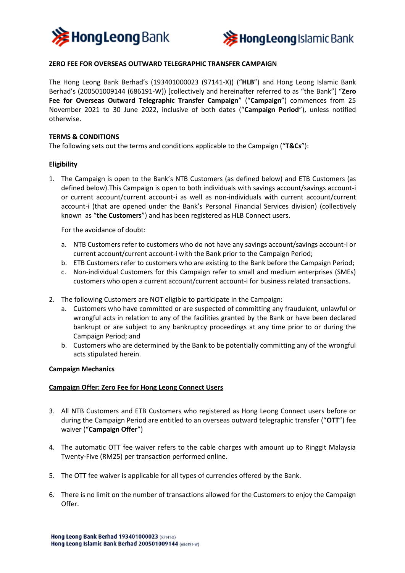



# **ZERO FEE FOR OVERSEAS OUTWARD TELEGRAPHIC TRANSFER CAMPAIGN**

The Hong Leong Bank Berhad's (193401000023 (97141-X)) ("**HLB**") and Hong Leong Islamic Bank Berhad's (200501009144 (686191-W)) [collectively and hereinafter referred to as "the Bank"] "**Zero Fee for Overseas Outward Telegraphic Transfer Campaign**" ("**Campaign**") commences from 25 November 2021 to 30 June 2022, inclusive of both dates ("**Campaign Period**"), unless notified otherwise.

### **TERMS & CONDITIONS**

The following sets out the terms and conditions applicable to the Campaign ("**T&Cs**"):

## **Eligibility**

1. The Campaign is open to the Bank's NTB Customers (as defined below) and ETB Customers (as defined below).This Campaign is open to both individuals with savings account/savings account-i or current account/current account-i as well as non-individuals with current account/current account-i (that are opened under the Bank's Personal Financial Services division) (collectively known as "**the Customers**") and has been registered as HLB Connect users.

For the avoidance of doubt:

- a. NTB Customers refer to customers who do not have any savings account/savings account-i or current account/current account-i with the Bank prior to the Campaign Period;
- b. ETB Customers refer to customers who are existing to the Bank before the Campaign Period;
- c. Non-individual Customers for this Campaign refer to small and medium enterprises (SMEs) customers who open a current account/current account-i for business related transactions.
- 2. The following Customers are NOT eligible to participate in the Campaign:
	- a. Customers who have committed or are suspected of committing any fraudulent, unlawful or wrongful acts in relation to any of the facilities granted by the Bank or have been declared bankrupt or are subject to any bankruptcy proceedings at any time prior to or during the Campaign Period; and
	- b. Customers who are determined by the Bank to be potentially committing any of the wrongful acts stipulated herein.

#### **Campaign Mechanics**

#### **Campaign Offer: Zero Fee for Hong Leong Connect Users**

- 3. All NTB Customers and ETB Customers who registered as Hong Leong Connect users before or during the Campaign Period are entitled to an overseas outward telegraphic transfer ("**OTT**") fee waiver ("**Campaign Offer**")
- 4. The automatic OTT fee waiver refers to the cable charges with amount up to Ringgit Malaysia Twenty-Five (RM25) per transaction performed online.
- 5. The OTT fee waiver is applicable for all types of currencies offered by the Bank.
- 6. There is no limit on the number of transactions allowed for the Customers to enjoy the Campaign Offer.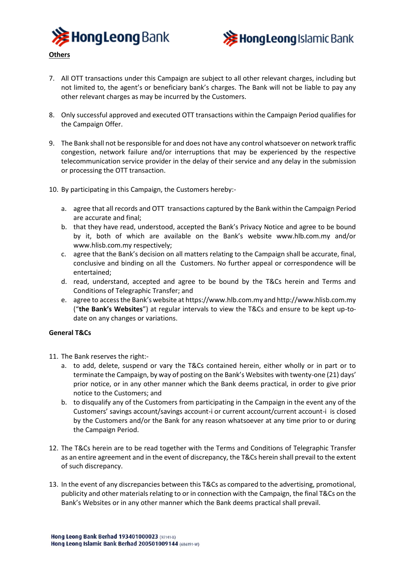



- 7. All OTT transactions under this Campaign are subject to all other relevant charges, including but not limited to, the agent's or beneficiary bank's charges. The Bank will not be liable to pay any other relevant charges as may be incurred by the Customers.
- 8. Only successful approved and executed OTT transactions within the Campaign Period qualifies for the Campaign Offer.
- 9. The Bank shall not be responsible for and does not have any control whatsoever on network traffic congestion, network failure and/or interruptions that may be experienced by the respective telecommunication service provider in the delay of their service and any delay in the submission or processing the OTT transaction.
- 10. By participating in this Campaign, the Customers hereby:
	- a. agree that all records and OTT transactions captured by the Bank within the Campaign Period are accurate and final;
	- b. that they have read, understood, accepted the Bank's Privacy Notice and agree to be bound by it, both of which are available on the Bank's website www.hlb.com.my and/or www.hlisb.com.my respectively;
	- c. agree that the Bank's decision on all matters relating to the Campaign shall be accurate, final, conclusive and binding on all the Customers. No further appeal or correspondence will be entertained;
	- d. read, understand, accepted and agree to be bound by the T&Cs herein and Terms and Conditions of Telegraphic Transfer; and
	- e. agree to access the Bank's website at https://www.hlb.com.my and http://www.hlisb.com.my ("**the Bank's Websites**") at regular intervals to view the T&Cs and ensure to be kept up-todate on any changes or variations.

## **General T&Cs**

- 11. The Bank reserves the right:
	- a. to add, delete, suspend or vary the T&Cs contained herein, either wholly or in part or to terminate the Campaign, by way of posting on the Bank's Websites with twenty-one (21) days' prior notice, or in any other manner which the Bank deems practical, in order to give prior notice to the Customers; and
	- b. to disqualify any of the Customers from participating in the Campaign in the event any of the Customers' savings account/savings account-i or current account/current account-i is closed by the Customers and/or the Bank for any reason whatsoever at any time prior to or during the Campaign Period.
- 12. The T&Cs herein are to be read together with the Terms and Conditions of Telegraphic Transfer as an entire agreement and in the event of discrepancy, the T&Cs herein shall prevail to the extent of such discrepancy.
- 13. In the event of any discrepancies between this T&Cs as compared to the advertising, promotional, publicity and other materials relating to or in connection with the Campaign, the final T&Cs on the Bank's Websites or in any other manner which the Bank deems practical shall prevail.